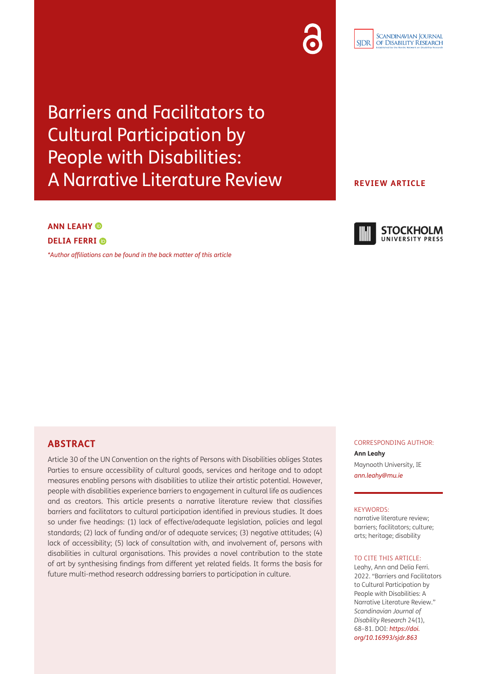Barriers and Facilitators to Cultural Participation by People with Disabilities: A Narrative Literature Review

**ANN LEAHY** 

# **DELIA FERRI**

*[\\*Author affiliations can be found in the back matter of this article](#page-10-0)*

# CORRESPONDING AUTHOR:

**Ann Leahy** Maynooth University, IE *[ann.leahy@mu.ie](mailto:ann.leahy@mu.ie)*

#### KEYWORDS:

narrative literature review; barriers; facilitators; culture; arts; heritage; disability

#### TO CITE THIS ARTICLE:

Leahy, Ann and Delia Ferri. 2022. "Barriers and Facilitators to Cultural Participation by People with Disabilities: A Narrative Literature Review." *Scandinavian Journal of Disability Research* 24(1), 68–81. DOI: *[https://doi.](https://doi.org/10.16993/sjdr.863) [org/10.16993/sjdr.863](https://doi.org/10.16993/sjdr.863)*

# **ABSTRACT**

Article 30 of the UN Convention on the rights of Persons with Disabilities obliges States Parties to ensure accessibility of cultural goods, services and heritage and to adopt measures enabling persons with disabilities to utilize their artistic potential. However, people with disabilities experience barriers to engagement in cultural life as audiences and as creators. This article presents a narrative literature review that classifies barriers and facilitators to cultural participation identified in previous studies. It does so under five headings: (1) lack of effective/adequate legislation, policies and legal standards; (2) lack of funding and/or of adequate services; (3) negative attitudes; (4) lack of accessibility; (5) lack of consultation with, and involvement of, persons with disabilities in cultural organisations. This provides a novel contribution to the state of art by synthesising findings from different yet related fields. It forms the basis for future multi-method research addressing barriers to participation in culture.

#### **SCANDINAVIAN JOURNAL** OF DISABILITY RESEARCH **SIDR**

# **STOCKHOLM** UNIVERSITY PRESS

**REVIEW ARTICLE**



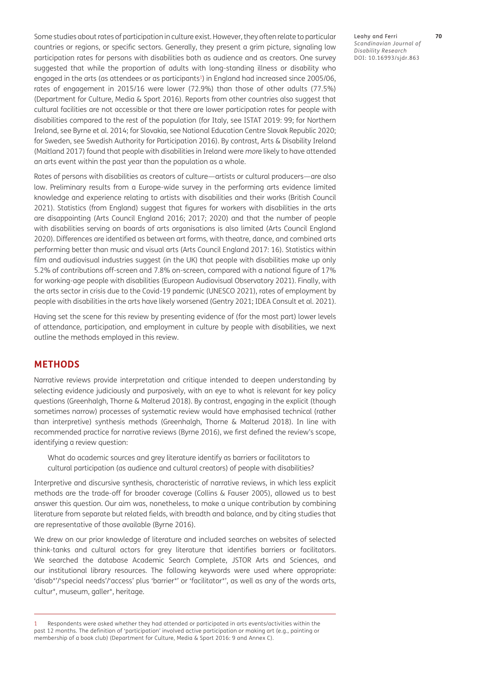Some studies about rates of participation in culture exist. However, they often relate to particular countries or regions, or specific sectors. Generally, they present a grim picture, signaling low participation rates for persons with disabilities both as audience and as creators. One survey suggested that while the proportion of adults with long-standing illness or disability who engaged in the arts (as attendees or as participants<sup>1</sup>) in England had increased since 2005/06, rates of engagement in 2015/16 were lower (72.9%) than those of other adults (77.5%) [\(Department for Culture, Media & Sport 2016\)](#page-11-0). Reports from other countries also suggest that cultural facilities are not accessible or that there are lower participation rates for people with disabilities compared to the rest of the population (for Italy, see [ISTAT 2019: 99;](#page-11-0) for Northern Ireland, see [Byrne et al. 2014](#page-10-1); for Slovakia, see [National Education Centre Slovak Republic 2020](#page-12-0); for Sweden, see [Swedish Authority for Participation 2016\)](#page-13-0). By contrast, Arts & Disability Ireland [\(Maitland 2017](#page-12-0)) found that people with disabilities in Ireland were *more* likely to have attended an arts event within the past year than the population as a whole.

Rates of persons with disabilities as creators of culture—artists or cultural producers—are also low. Preliminary results from a Europe-wide survey in the performing arts evidence limited knowledge and experience relating to artists with disabilities and their works ([British Council](#page-10-1)  [2021](#page-10-1)). Statistics (from England) suggest that figures for workers with disabilities in the arts are disappointing ([Arts Council England 2016; 2017; 2020](#page-10-1)) and that the number of people with disabilities serving on boards of arts organisations is also limited [\(Arts Council England](#page-10-1)  [2020](#page-10-1)). Differences are identified as between art forms, with theatre, dance, and combined arts performing better than music and visual arts [\(Arts Council England 2017: 16\)](#page-10-1). Statistics within film and audiovisual industries suggest (in the UK) that people with disabilities make up only 5.2% of contributions off-screen and 7.8% on-screen, compared with a national figure of 17% for working-age people with disabilities [\(European Audiovisual Observatory 2021\)](#page-11-0). Finally, with the arts sector in crisis due to the Covid-19 pandemic ([UNESCO 2021](#page-13-0)), rates of employment by people with disabilities in the arts have likely worsened ([Gentry 2021](#page-11-0); [IDEA Consult et al. 2021](#page-11-0)).

Having set the scene for this review by presenting evidence of (for the most part) lower levels of attendance, participation, and employment in culture by people with disabilities, we next outline the methods employed in this review.

# **METHODS**

Narrative reviews provide interpretation and critique intended to deepen understanding by selecting evidence judiciously and purposively, with an eye to what is relevant for key policy questions ([Greenhalgh, Thorne & Malterud 2018](#page-11-0)). By contrast, engaging in the explicit (though sometimes narrow) processes of systematic review would have emphasised technical (rather than interpretive) synthesis methods ([Greenhalgh, Thorne & Malterud 2018\)](#page-11-0). In line with recommended practice for narrative reviews ([Byrne 2016](#page-10-1)), we first defined the review's scope, identifying a review question:

What do academic sources and grey literature identify as barriers or facilitators to cultural participation (as audience and cultural creators) of people with disabilities?

Interpretive and discursive synthesis, characteristic of narrative reviews, in which less explicit methods are the trade-off for broader coverage ([Collins & Fauser 2005\)](#page-10-1), allowed us to best answer this question. Our aim was, nonetheless, to make a unique contribution by combining literature from separate but related fields, with breadth and balance, and by citing studies that are representative of those available [\(Byrne 2016](#page-10-1)).

We drew on our prior knowledge of literature and included searches on websites of selected think-tanks and cultural actors for grey literature that identifies barriers or facilitators. We searched the database Academic Search Complete, JSTOR Arts and Sciences, and our institutional library resources. The following keywords were used where appropriate: 'disab\*'/'special needs'/'access' plus 'barrier\*' or 'facilitator\*', as well as any of the words arts, cultur\*, museum, galler\*, heritage.

Leahy and Ferri **70** *Scandinavian Journal of Disability Research* DOI: [10.16993/sjdr.863](https://doi.org/10.16993/sjdr.863)

<sup>1</sup> Respondents were asked whether they had attended or participated in arts events/activities within the past 12 months. The definition of 'participation' involved active participation or making art (e.g., painting or membership of a book club) ([Department for Culture, Media & Sport 2016: 9](#page-11-0) and Annex C).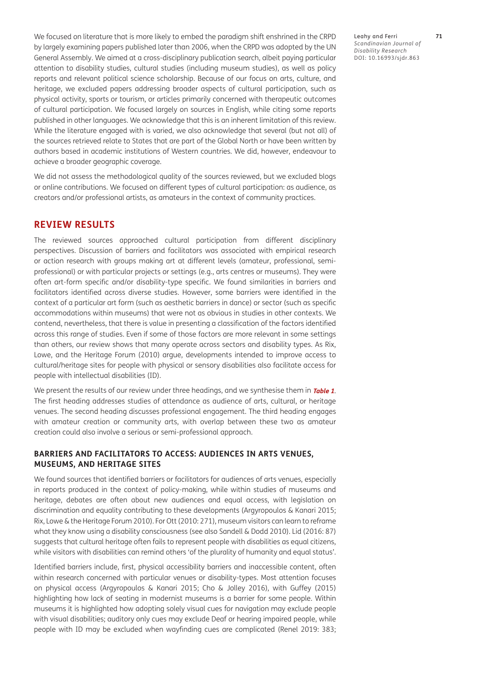We focused on literature that is more likely to embed the paradigm shift enshrined in the CRPD by largely examining papers published later than 2006, when the CRPD was adopted by the UN General Assembly. We aimed at a cross-disciplinary publication search, albeit paying particular attention to disability studies, cultural studies (including museum studies), as well as policy reports and relevant political science scholarship. Because of our focus on arts, culture, and heritage, we excluded papers addressing broader aspects of cultural participation, such as physical activity, sports or tourism, or articles primarily concerned with therapeutic outcomes of cultural participation. We focused largely on sources in English, while citing some reports published in other languages. We acknowledge that this is an inherent limitation of this review. While the literature engaged with is varied, we also acknowledge that several (but not all) of the sources retrieved relate to States that are part of the Global North or have been written by authors based in academic institutions of Western countries. We did, however, endeavour to achieve a broader geographic coverage.

We did not assess the methodological quality of the sources reviewed, but we excluded blogs or online contributions. We focused on different types of cultural participation: as audience, as creators and/or professional artists, as amateurs in the context of community practices.

# **REVIEW RESULTS**

The reviewed sources approached cultural participation from different disciplinary perspectives. Discussion of barriers and facilitators was associated with empirical research or action research with groups making art at different levels (amateur, professional, semiprofessional) or with particular projects or settings (e.g., arts centres or museums). They were often art-form specific and/or disability-type specific. We found similarities in barriers and facilitators identified across diverse studies. However, some barriers were identified in the context of a particular art form (such as aesthetic barriers in dance) or sector (such as specific accommodations within museums) that were not as obvious in studies in other contexts. We contend, nevertheless, that there is value in presenting a classification of the factors identified across this range of studies. Even if some of those factors are more relevant in some settings than others, our review shows that many operate across sectors and disability types. As [Rix,](#page-12-0)  [Lowe, and the Heritage Forum \(2010\)](#page-12-0) argue, developments intended to improve access to cultural/heritage sites for people with physical or sensory disabilities also facilitate access for people with intellectual disabilities (ID).

We present the results of our review under three headings, and we synthesise them in **[Table 1](#page-8-0)**. The first heading addresses studies of attendance as audience of arts, cultural, or heritage venues. The second heading discusses professional engagement. The third heading engages with amateur creation or community arts, with overlap between these two as amateur creation could also involve a serious or semi-professional approach.

#### **BARRIERS AND FACILITATORS TO ACCESS: AUDIENCES IN ARTS VENUES, MUSEUMS, AND HERITAGE SITES**

We found sources that identified barriers or facilitators for audiences of arts venues, especially in reports produced in the context of policy-making, while within studies of museums and heritage, debates are often about new audiences and equal access, with legislation on discrimination and equality contributing to these developments [\(Argyropoulos & Kanari 2015](#page-10-1); [Rix, Lowe & the Heritage Forum 2010](#page-12-0)). For [Ott \(2010: 271\)](#page-12-0), museum visitors can learn to reframe what they know using a disability consciousness (see also [Sandell & Dodd 2010\)](#page-12-0). [Lid \(2016: 87\)](#page-12-0) suggests that cultural heritage often fails to represent people with disabilities as equal citizens, while visitors with disabilities can remind others 'of the plurality of humanity and equal status'.

Identified barriers include, first, physical accessibility barriers and inaccessible content, often within research concerned with particular venues or disability-types. Most attention focuses on physical access ([Argyropoulos & Kanari 2015](#page-10-1); [Cho & Jolley 2016](#page-10-1)), with [Guffey \(2015\)](#page-11-0) highlighting how lack of seating in modernist museums is a barrier for some people. Within museums it is highlighted how adopting solely visual cues for navigation may exclude people with visual disabilities; auditory only cues may exclude Deaf or hearing impaired people, while people with ID may be excluded when wayfinding cues are complicated ([Renel 2019: 383](#page-12-0);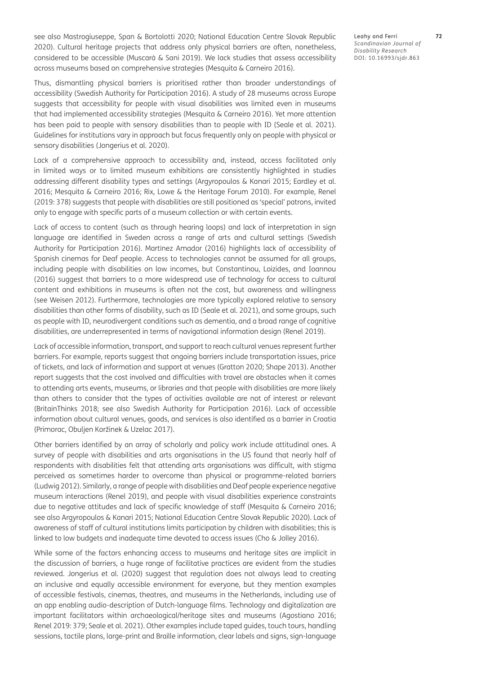see also [Mastrogiuseppe, Span & Bortolotti 2020](#page-12-0); [National Education Centre Slovak Republic](#page-12-0)  [2020](#page-12-0)). Cultural heritage projects that address only physical barriers are often, nonetheless, considered to be accessible ([Muscarà & Sani 2019](#page-12-0)). We lack studies that assess accessibility across museums based on comprehensive strategies ([Mesquita & Carneiro 2016\)](#page-12-0).

Thus, dismantling physical barriers is prioritised rather than broader understandings of accessibility ([Swedish Authority for Participation 2016\)](#page-13-0). A study of 28 museums across Europe suggests that accessibility for people with visual disabilities was limited even in museums that had implemented accessibility strategies ([Mesquita & Carneiro 2016](#page-12-0)). Yet more attention has been paid to people with sensory disabilities than to people with ID [\(Seale et al. 2021](#page-12-0)). Guidelines for institutions vary in approach but focus frequently only on people with physical or sensory disabilities ([Jongerius et al. 2020](#page-11-0)).

Lack of a comprehensive approach to accessibility and, instead, access facilitated only in limited ways or to limited museum exhibitions are consistently highlighted in studies addressing different disability types and settings [\(Argyropoulos & Kanari 2015](#page-10-1); [Eardley et al.](#page-11-0)  [2016](#page-11-0); [Mesquita & Carneiro 2016;](#page-12-0) [Rix, Lowe & the Heritage Forum 2010\)](#page-12-0). For example, [Renel](#page-12-0)  [\(2019: 378\)](#page-12-0) suggests that people with disabilities are still positioned as 'special' patrons, invited only to engage with specific parts of a museum collection or with certain events.

Lack of access to content (such as through hearing loops) and lack of interpretation in sign language are identified in Sweden across a range of arts and cultural settings ([Swedish](#page-13-0)  [Authority for Participation 2016\)](#page-13-0). [Martínez Amador \(2016\)](#page-12-0) highlights lack of accessibility of Spanish cinemas for Deaf people. Access to technologies cannot be assumed for all groups, including people with disabilities on low incomes, but [Constantinou, Loizides, and Ioannou](#page-11-0)  [\(2016\)](#page-11-0) suggest that barriers to a more widespread use of technology for access to cultural content and exhibitions in museums is often not the cost, but awareness and willingness (see [Weisen 2012\)](#page-13-0). Furthermore, technologies are more typically explored relative to sensory disabilities than other forms of disability, such as ID [\(Seale et al. 2021\)](#page-12-0), and some groups, such as people with ID, neurodivergent conditions such as dementia, and a broad range of cognitive disabilities, are underrepresented in terms of navigational information design [\(Renel 2019](#page-12-0)).

Lack of accessible information, transport, and support to reach cultural venues represent further barriers. For example, reports suggest that ongoing barriers include transportation issues, price of tickets, and lack of information and support at venues [\(Gratton 2020;](#page-11-0) [Shape 2013\)](#page-12-0). Another report suggests that the cost involved and difficulties with travel are obstacles when it comes to attending arts events, museums, or libraries and that people with disabilities are more likely than others to consider that the types of activities available are not of interest or relevant [\(BritainThinks 2018;](#page-10-1) see also [Swedish Authority for Participation 2016](#page-13-0)). Lack of accessible information about cultural venues, goods, and services is also identified as a barrier in Croatia [\(Primorac, Obuljen Koržinek & Uzelac 2017\)](#page-12-0).

Other barriers identified by an array of scholarly and policy work include attitudinal ones. A survey of people with disabilities and arts organisations in the US found that nearly half of respondents with disabilities felt that attending arts organisations was difficult, with stigma perceived as sometimes harder to overcome than physical or programme-related barriers [\(Ludwig 2012](#page-12-0)). Similarly, a range of people with disabilities and Deaf people experience negative museum interactions ([Renel 2019\)](#page-12-0), and people with visual disabilities experience constraints due to negative attitudes and lack of specific knowledge of staff ([Mesquita & Carneiro 2016](#page-12-0); see also [Argyropoulos & Kanari 2015](#page-10-1); [National Education Centre Slovak Republic 2020](#page-12-0)). Lack of awareness of staff of cultural institutions limits participation by children with disabilities; this is linked to low budgets and inadequate time devoted to access issues [\(Cho & Jolley 2016](#page-10-1)).

While some of the factors enhancing access to museums and heritage sites are implicit in the discussion of barriers, a huge range of facilitative practices are evident from the studies reviewed. [Jongerius et al. \(2020\)](#page-11-0) suggest that regulation does not always lead to creating an inclusive and equally accessible environment for everyone, but they mention examples of accessible festivals, cinemas, theatres, and museums in the Netherlands, including use of an app enabling audio-description of Dutch-language films. Technology and digitalization are important facilitators within archaeological/heritage sites and museums ([Agostiano 2016](#page-10-1); [Renel 2019: 379;](#page-12-0) [Seale et al. 2021\)](#page-12-0). Other examples include taped guides, touch tours, handling sessions, tactile plans, large-print and Braille information, clear labels and signs, sign-language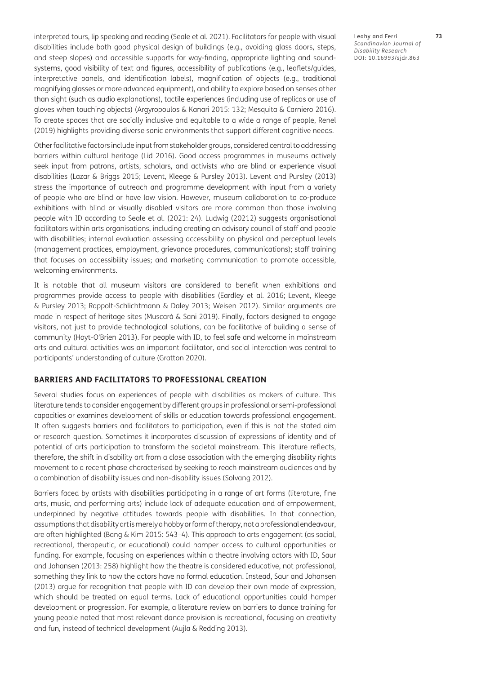interpreted tours, lip speaking and reading [\(Seale et al. 2021](#page-12-0)). Facilitators for people with visual disabilities include both good physical design of buildings (e.g., avoiding glass doors, steps, and steep slopes) and accessible supports for way-finding, appropriate lighting and soundsystems, good visibility of text and figures, accessibility of publications (e.g., leaflets/guides, interpretative panels, and identification labels), magnification of objects (e.g., traditional magnifying glasses or more advanced equipment), and ability to explore based on senses other than sight (such as audio explanations), tactile experiences (including use of replicas or use of gloves when touching objects) [\(Argyropoulos & Kanari 2015: 132](#page-10-1); [Mesquita & Carniero 2016](#page-12-0)). To create spaces that are socially inclusive and equitable to a wide a range of people, [Renel](#page-12-0)  [\(2019\)](#page-12-0) highlights providing diverse sonic environments that support different cognitive needs.

Other facilitative factors include input from stakeholder groups, considered central to addressing barriers within cultural heritage [\(Lid 2016](#page-12-0)). Good access programmes in museums actively seek input from patrons, artists, scholars, and activists who are blind or experience visual disabilities ([Lazar & Briggs 2015;](#page-11-0) [Levent, Kleege & Pursley 2013\)](#page-11-0). [Levent and Pursley \(2013\)](#page-11-0) stress the importance of outreach and programme development with input from a variety of people who are blind or have low vision. However, museum collaboration to co-produce exhibitions with blind or visually disabled visitors are more common than those involving people with ID according to [Seale et al. \(2021: 24\)](#page-12-0). [Ludwig \(20212\)](#page-12-0) suggests organisational facilitators within arts organisations, including creating an advisory council of staff and people with disabilities; internal evaluation assessing accessibility on physical and perceptual levels (management practices, employment, grievance procedures, communications); staff training that focuses on accessibility issues; and marketing communication to promote accessible, welcoming environments.

It is notable that all museum visitors are considered to benefit when exhibitions and programmes provide access to people with disabilities ([Eardley et al. 2016](#page-11-0); [Levent, Kleege](#page-11-0)  [& Pursley 2013](#page-11-0); [Rappolt-Schlichtmann & Daley 2013](#page-12-0); [Weisen 2012](#page-13-0)). Similar arguments are made in respect of heritage sites ([Muscarà & Sani 2019](#page-12-0)). Finally, factors designed to engage visitors, not just to provide technological solutions, can be facilitative of building a sense of community [\(Hoyt-O'Brien 2013\)](#page-11-0). For people with ID, to feel safe and welcome in mainstream arts and cultural activities was an important facilitator, and social interaction was central to participants' understanding of culture ([Gratton 2020](#page-11-0)).

#### **BARRIERS AND FACILITATORS TO PROFESSIONAL CREATION**

Several studies focus on experiences of people with disabilities as makers of culture. This literature tends to consider engagement by different groups in professional or semi-professional capacities or examines development of skills or education towards professional engagement. It often suggests barriers and facilitators to participation, even if this is not the stated aim or research question. Sometimes it incorporates discussion of expressions of identity and of potential of arts participation to transform the societal mainstream. This literature reflects, therefore, the shift in disability art from a close association with the emerging disability rights movement to a recent phase characterised by seeking to reach mainstream audiences and by a combination of disability issues and non-disability issues ([Solvang 2012](#page-12-0)).

Barriers faced by artists with disabilities participating in a range of art forms (literature, fine arts, music, and performing arts) include lack of adequate education and of empowerment, underpinned by negative attitudes towards people with disabilities. In that connection, assumptions that disability art is merely a hobby or form of therapy, not a professional endeavour, are often highlighted [\(Bang & Kim 2015: 543–4\)](#page-10-1). This approach to arts engagement (as social, recreational, therapeutic, or educational) could hamper access to cultural opportunities or funding. For example, focusing on experiences within a theatre involving actors with ID, [Saur](#page-12-0)  [and Johansen \(2013: 258\)](#page-12-0) highlight how the theatre is considered educative, not professional, something they link to how the actors have no formal education. Instead, [Saur and Johansen](#page-12-0)  [\(2013\)](#page-12-0) argue for recognition that people with ID can develop their own mode of expression, which should be treated on equal terms. Lack of educational opportunities could hamper development or progression. For example, a literature review on barriers to dance training for young people noted that most relevant dance provision is recreational, focusing on creativity and fun, instead of technical development [\(Aujla & Redding 2013\)](#page-10-1).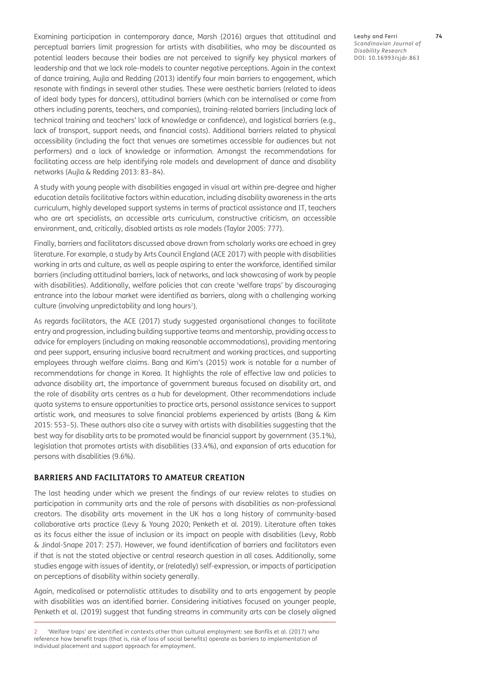Examining participation in contemporary dance, [Marsh \(2016\)](#page-12-0) argues that attitudinal and perceptual barriers limit progression for artists with disabilities, who may be discounted as potential leaders because their bodies are not perceived to signify key physical markers of leadership and that we lack role-models to counter negative perceptions. Again in the context of dance training, [Aujla and Redding \(2013\)](#page-10-1) identify four main barriers to engagement, which resonate with findings in several other studies. These were aesthetic barriers (related to ideas of ideal body types for dancers), attitudinal barriers (which can be internalised or come from others including parents, teachers, and companies), training-related barriers (including lack of technical training and teachers' lack of knowledge or confidence), and logistical barriers (e.g., lack of transport, support needs, and financial costs). Additional barriers related to physical accessibility (including the fact that venues are sometimes accessible for audiences but not performers) and a lack of knowledge or information. Amongst the recommendations for facilitating access are help identifying role models and development of dance and disability networks ([Aujla & Redding 2013: 83–84\)](#page-10-1).

A study with young people with disabilities engaged in visual art within pre-degree and higher education details facilitative factors within education, including disability awareness in the arts curriculum, highly developed support systems in terms of practical assistance and IT, teachers who are art specialists, an accessible arts curriculum, constructive criticism, an accessible environment, and, critically, disabled artists as role models [\(Taylor 2005: 777](#page-13-0)).

Finally, barriers and facilitators discussed above drawn from scholarly works are echoed in grey literature. For example, a study by [Arts Council England \(ACE 2017\)](#page-10-1) with people with disabilities working in arts and culture, as well as people aspiring to enter the workforce, identified similar barriers (including attitudinal barriers, lack of networks, and lack showcasing of work by people with disabilities). Additionally, welfare policies that can create 'welfare traps' by discouraging entrance into the labour market were identified as barriers, along with a challenging working culture (involving unpredictability and long hours<sup>2</sup>).

As regards facilitators, the ACE (2017) study suggested organisational changes to facilitate entry and progression, including building supportive teams and mentorship, providing access to advice for employers (including on making reasonable accommodations), providing mentoring and peer support, ensuring inclusive board recruitment and working practices, and supporting employees through welfare claims. Bang and Kim's [\(2015\)](#page-10-1) work is notable for a number of recommendations for change in Korea. It highlights the role of effective law and policies to advance disability art, the importance of government bureaus focused on disability art, and the role of disability arts centres as a hub for development. Other recommendations include quota systems to ensure opportunities to practice arts, personal assistance services to support artistic work, and measures to solve financial problems experienced by artists ([Bang & Kim](#page-10-1)  [2015: 553–5\)](#page-10-1). These authors also cite a survey with artists with disabilities suggesting that the best way for disability arts to be promoted would be financial support by government (35.1%), legislation that promotes artists with disabilities (33.4%), and expansion of arts education for persons with disabilities (9.6%).

#### **BARRIERS AND FACILITATORS TO AMATEUR CREATION**

The last heading under which we present the findings of our review relates to studies on participation in community arts and the role of persons with disabilities as non-professional creators. The disability arts movement in the UK has a long history of community-based collaborative arts practice [\(Levy & Young 2020](#page-11-0); [Penketh et al. 2019](#page-12-0)). Literature often takes as its focus either the issue of inclusion or its impact on people with disabilities [\(Levy, Robb](#page-11-0)  [& Jindal-Snape 2017: 257\)](#page-11-0). However, we found identification of barriers and facilitators even if that is not the stated objective or central research question in all cases. Additionally, some studies engage with issues of identity, or (relatedly) self-expression, or impacts of participation on perceptions of disability within society generally.

Again, medicalised or paternalistic attitudes to disability and to arts engagement by people with disabilities was an identified barrier. Considering initiatives focused on younger people, [Penketh et al. \(2019\)](#page-12-0) suggest that funding streams in community arts can be closely aligned Leahy and Ferri **74** *Scandinavian Journal of Disability Research* DOI: [10.16993/sjdr.863](https://doi.org/10.16993/sjdr.863)

<sup>2</sup> 'Welfare traps' are identified in contexts other than cultural employment: see [Bonfils et al. \(2017\)](#page-10-1) who reference how benefit traps (that is, risk of loss of social benefits) operate as barriers to implementation of individual placement and support approach for employment.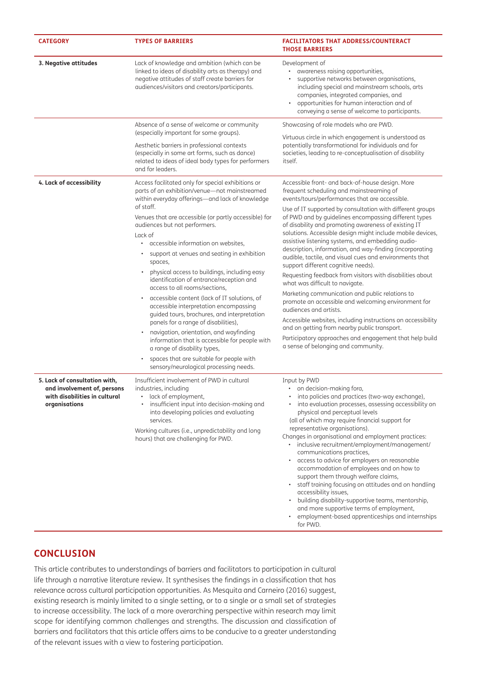| <b>CATEGORY</b>                                                                                                | <b>TYPES OF BARRIERS</b>                                                                                                                                                                                                                                                                                                                                                                                                                                                                                                                                                                                                                                                                                                                                                                                                                                                                                                | <b>FACILITATORS THAT ADDRESS/COUNTERACT</b><br><b>THOSE BARRIERS</b>                                                                                                                                                                                                                                                                                                                                                                                                                                                                                                                                                                                                                                                                                                                                                                                                                                                                                                                                                                                                |
|----------------------------------------------------------------------------------------------------------------|-------------------------------------------------------------------------------------------------------------------------------------------------------------------------------------------------------------------------------------------------------------------------------------------------------------------------------------------------------------------------------------------------------------------------------------------------------------------------------------------------------------------------------------------------------------------------------------------------------------------------------------------------------------------------------------------------------------------------------------------------------------------------------------------------------------------------------------------------------------------------------------------------------------------------|---------------------------------------------------------------------------------------------------------------------------------------------------------------------------------------------------------------------------------------------------------------------------------------------------------------------------------------------------------------------------------------------------------------------------------------------------------------------------------------------------------------------------------------------------------------------------------------------------------------------------------------------------------------------------------------------------------------------------------------------------------------------------------------------------------------------------------------------------------------------------------------------------------------------------------------------------------------------------------------------------------------------------------------------------------------------|
| 3. Negative attitudes                                                                                          | Lack of knowledge and ambition (which can be<br>linked to ideas of disability arts as therapy) and<br>negative attitudes of staff create barriers for<br>audiences/visitors and creators/participants.                                                                                                                                                                                                                                                                                                                                                                                                                                                                                                                                                                                                                                                                                                                  | Development of<br>awareness raising opportunities,<br>$\bullet$<br>supportive networks between organisations,<br>including special and mainstream schools, arts<br>companies, integrated companies, and<br>opportunities for human interaction and of<br>conveying a sense of welcome to participants.                                                                                                                                                                                                                                                                                                                                                                                                                                                                                                                                                                                                                                                                                                                                                              |
|                                                                                                                | Absence of a sense of welcome or community<br>(especially important for some groups).<br>Aesthetic barriers in professional contexts<br>(especially in some art forms, such as dance)<br>related to ideas of ideal body types for performers<br>and for leaders.                                                                                                                                                                                                                                                                                                                                                                                                                                                                                                                                                                                                                                                        | Showcasing of role models who are PWD.<br>Virtuous circle in which engagement is understood as<br>potentially transformational for individuals and for<br>societies, leading to re-conceptualisation of disability<br>itself.                                                                                                                                                                                                                                                                                                                                                                                                                                                                                                                                                                                                                                                                                                                                                                                                                                       |
| 4. Lack of accessibility                                                                                       | Access facilitated only for special exhibitions or<br>parts of an exhibition/venue-not mainstreamed<br>within everyday offerings-and lack of knowledge<br>of staff.<br>Venues that are accessible (or partly accessible) for<br>audiences but not performers.<br>Lack of<br>accessible information on websites,<br>$\bullet$<br>support at venues and seating in exhibition<br>spaces,<br>physical access to buildings, including easy<br>identification of entrance/reception and<br>access to all rooms/sections,<br>accessible content (lack of IT solutions, of<br>accessible interpretation encompassing<br>guided tours, brochures, and interpretation<br>panels for a range of disabilities),<br>navigation, orientation, and wayfinding<br>information that is accessible for people with<br>a range of disability types,<br>spaces that are suitable for people with<br>sensory/neurological processing needs. | Accessible front- and back-of-house design. More<br>frequent scheduling and mainstreaming of<br>events/tours/performances that are accessible.<br>Use of IT supported by consultation with different groups<br>of PWD and by guidelines encompassing different types<br>of disability and promoting awareness of existing IT<br>solutions. Accessible design might include mobile devices,<br>assistive listening systems, and embedding audio-<br>description, information, and way-finding (incorporating<br>audible, tactile, and visual cues and environments that<br>support different cognitive needs).<br>Requesting feedback from visitors with disabilities about<br>what was difficult to navigate.<br>Marketing communication and public relations to<br>promote an accessible and welcoming environment for<br>audiences and artists.<br>Accessible websites, including instructions on accessibility<br>and on getting from nearby public transport.<br>Participatory approaches and engagement that help build<br>a sense of belonging and community. |
| 5. Lack of consultation with,<br>and involvement of, persons<br>with disabilities in cultural<br>organisations | Insufficient involvement of PWD in cultural<br>industries, including<br>lack of employment,<br>insufficient input into decision-making and<br>into developing policies and evaluating<br>services.<br>Working cultures (i.e., unpredictability and long<br>hours) that are challenging for PWD.                                                                                                                                                                                                                                                                                                                                                                                                                                                                                                                                                                                                                         | Input by PWD<br>• on decision-making fora,<br>into policies and practices (two-way exchange),<br>into evaluation processes, assessing accessibility on<br>physical and perceptual levels<br>(all of which may require financial support for<br>representative organisations).<br>Changes in organisational and employment practices:<br>· inclusive recruitment/employment/management/<br>communications practices,<br>access to advice for employers on reasonable<br>$\bullet$<br>accommodation of employees and on how to<br>support them through welfare claims,<br>staff training focusing on attitudes and on handling<br>accessibility issues,<br>building disability-supportive teams, mentorship,<br>and more supportive terms of employment,<br>• employment-based apprenticeships and internships<br>for PWD.                                                                                                                                                                                                                                            |

# **CONCLUSION**

This article contributes to understandings of barriers and facilitators to participation in cultural life through a narrative literature review. It synthesises the findings in a classification that has relevance across cultural participation opportunities. As [Mesquita and Carneiro \(2016\)](#page-12-0) suggest, existing research is mainly limited to a single setting, or to a single or a small set of strategies to increase accessibility. The lack of a more overarching perspective within research may limit scope for identifying common challenges and strengths. The discussion and classification of barriers and facilitators that this article offers aims to be conducive to a greater understanding of the relevant issues with a view to fostering participation.